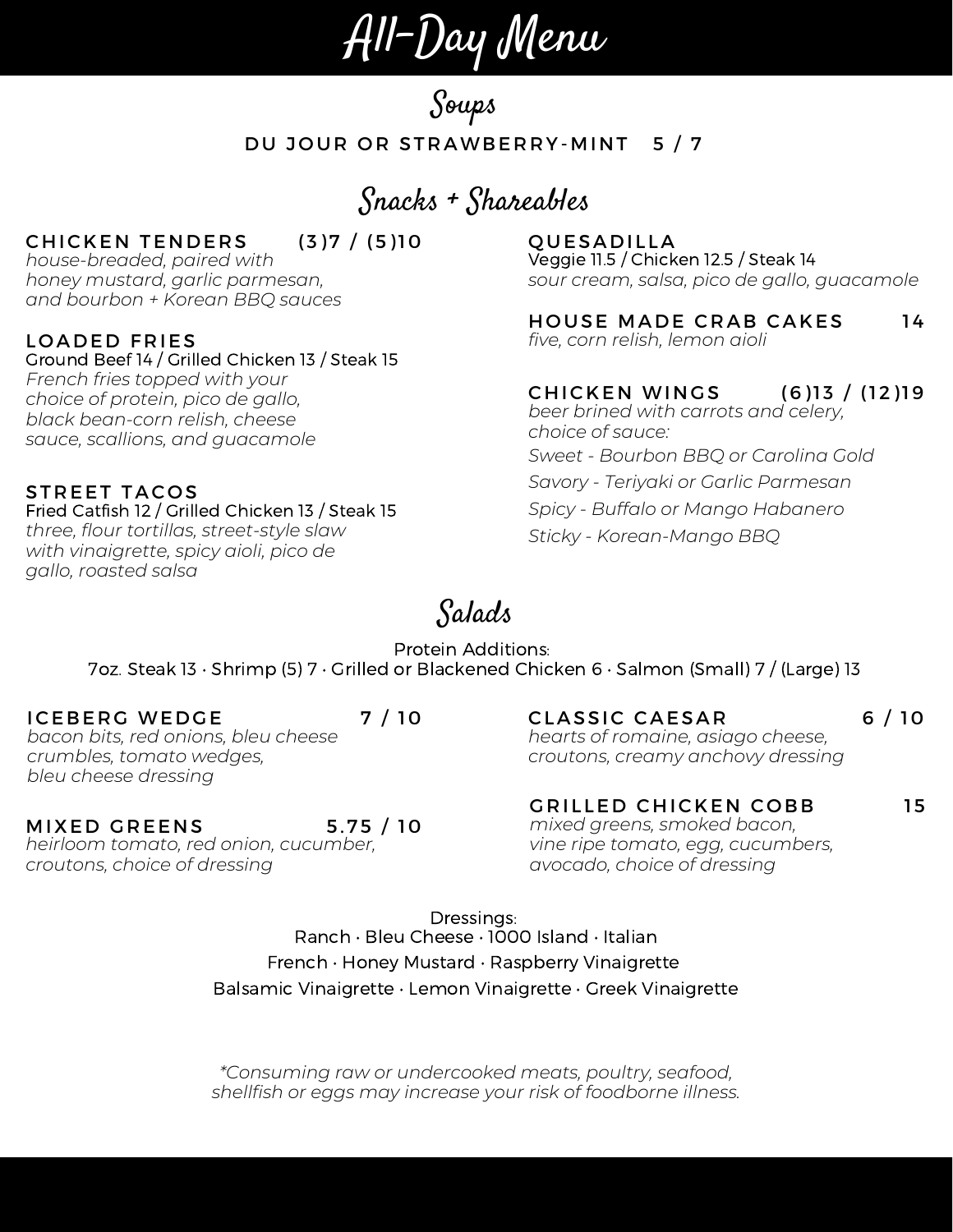All-Day Menu

Soups

### DU JOUR OR STRAWBERRY-MINT 5 / 7

Snacks + Shareables

### CHICKEN TENDERS (3) 7 / (5) 10

*house-breaded, paired with honey mustard, garlic parmesan, and bourbon + Korean BBQ sauces*

#### LOADED FRIES

Ground Beef 14 / Grilled Chicken 13 / Steak 15 *French fries topped with your choice of protein, pico de gallo, black bean-corn relish, cheese sauce, scallions, and guacamole*

#### STREET TACOS

Fried Catfish 12 / Grilled Chicken 13 / Steak 15 *three, flour tortillas, street-style slaw with vinaigrette, spicy aioli, pico de gallo, roasted salsa*

### **QUESADILLA**

Veggie 11.5 / Chicken 12.5 / Steak 14 *sour cream, salsa, pico de gallo, guacamole*

*five, corn relish, lemon aioli* HOUSE MADE CRAB CAKES 14

*beer brined with carrots and celery, choice of sauce: Sweet - Bourbon BBQ or Carolina Gold Savory - Teriyaki or Garlic Parmesan Spicy - Buffalo or Mango Habanero Sticky - Korean-Mango BBQ* CHICKEN WINGS (6)13 / (12)19

# Salads

Protein Additions: 7oz. Steak 13 • Shrimp (5) 7 • Grilled or Blackened Chicken 6 • Salmon (Small) 7 / (Large) 13

*bacon bits, red onions, bleu cheese crumbles, tomato wedges, bleu cheese dressing* ICEBERG WEDGE 7/10

*hearts of romaine, asiago cheese, croutons, creamy anchovy dressing* CLASSIC CAESAR 6/10

## GRILLED CHICKEN COBB 15

*mixed greens, smoked bacon, vine ripe tomato, egg, cucumbers, avocado, choice of dressing*

Dressings: Ranch • Bleu Cheese • 1000 Island • Italian French • Honey Mustard • Raspberry Vinaigrette Balsamic Vinaigrette • Lemon Vinaigrette • Greek Vinaigrette

*\*Consuming raw or undercooked meats, poultry, seafood, shellfish or eggs may increase your risk of foodborne illness.*

MIXED GREENS 5.75 / 10

*heirloom tomato, red onion, cucumber, croutons, choice of dressing*